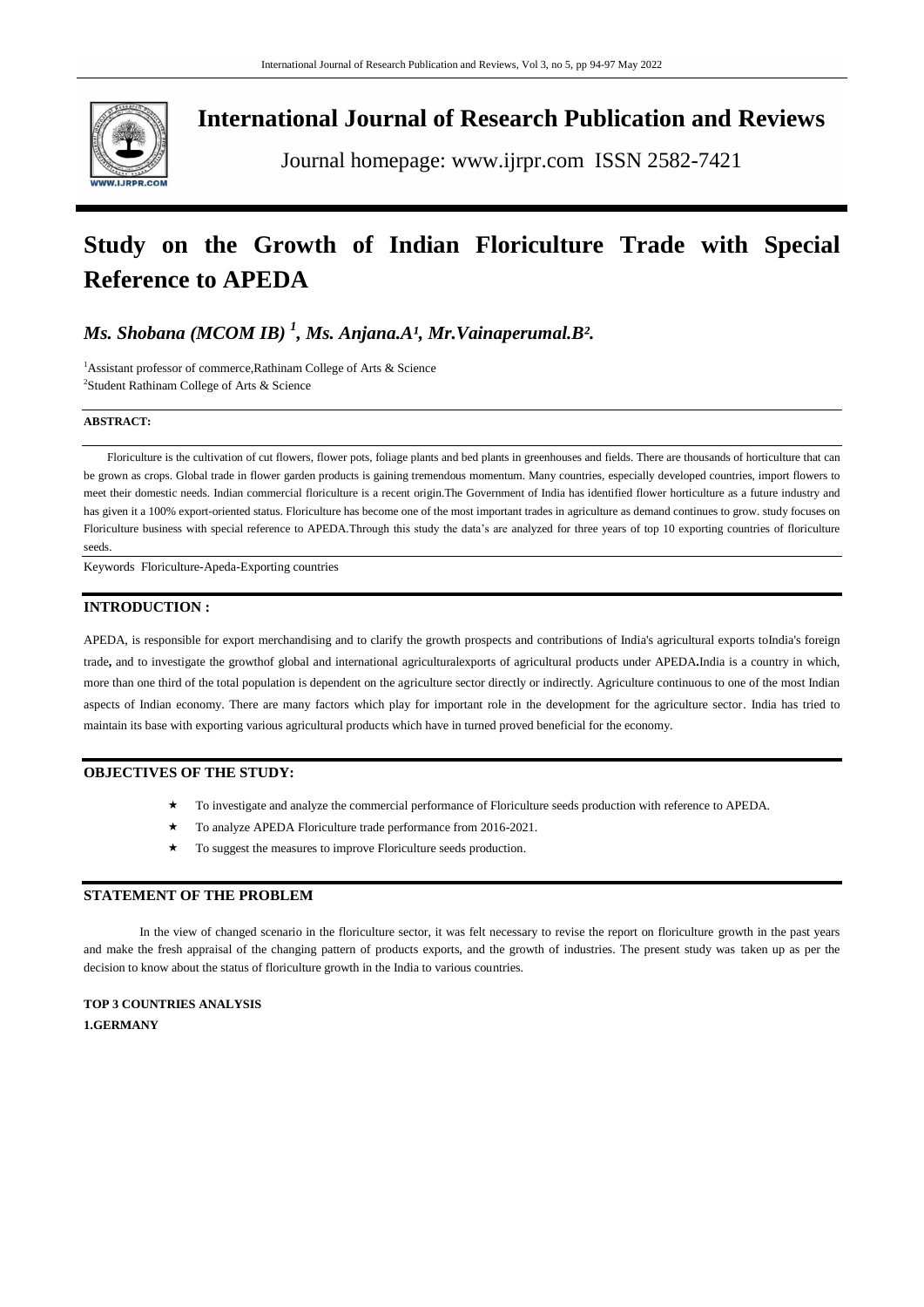

## **International Journal of Research Publication and Reviews**

Journal homepage: www.ijrpr.com ISSN 2582-7421

# **Study on the Growth of Indian Floriculture Trade with Special Reference to APEDA**

## *Ms. Shobana (MCOM IB) <sup>1</sup> , Ms. Anjana.A¹, Mr.Vainaperumal.B².*

<sup>1</sup>Assistant professor of commerce, Rathinam College of Arts & Science 2 Student Rathinam College of Arts & Science

#### **ABSTRACT:**

Floriculture is the cultivation of cut flowers, flower pots, foliage plants and bed plants in greenhouses and fields. There are thousands of horticulture that can be grown as crops. Global trade in flower garden products is gaining tremendous momentum. Many countries, especially developed countries, import flowers to meet their domestic needs. Indian commercial floriculture is a recent origin.The Government of India has identified flower horticulture as a future industry and has given it a 100% export-oriented status. Floriculture has become one of the most important trades in agriculture as demand continues to grow, study focuses on Floriculture business with special reference to APEDA.Through this study the data's are analyzed for three years of top 10 exporting countries of floriculture seeds.

Keywords Floriculture-Apeda-Exporting countries

## **INTRODUCTION :**

APEDA, is responsible for export merchandising and to clarify the growth prospects and contributions of India's agricultural exports toIndia's foreign trade**,** and to investigate the growthof global and international agriculturalexports of agricultural products under APEDA**.**India is a country in which, more than one third of the total population is dependent on the agriculture sector directly or indirectly. Agriculture continuous to one of the most Indian aspects of Indian economy. There are many factors which play for important role in the development for the agriculture sector. India has tried to maintain its base with exporting various agricultural products which have in turned proved beneficial for the economy.

## **OBJECTIVES OF THE STUDY:**

- To investigate and analyze the commercial performance of Floriculture seeds production with reference to APEDA.
- To analyze APEDA Floriculture trade performance from 2016-2021.
- To suggest the measures to improve Floriculture seeds production.

## **STATEMENT OF THE PROBLEM**

In the view of changed scenario in the floriculture sector, it was felt necessary to revise the report on floriculture growth in the past years and make the fresh appraisal of the changing pattern of products exports, and the growth of industries. The present study was taken up as per the decision to know about the status of floriculture growth in the India to various countries.

**TOP 3 COUNTRIES ANALYSIS 1.GERMANY**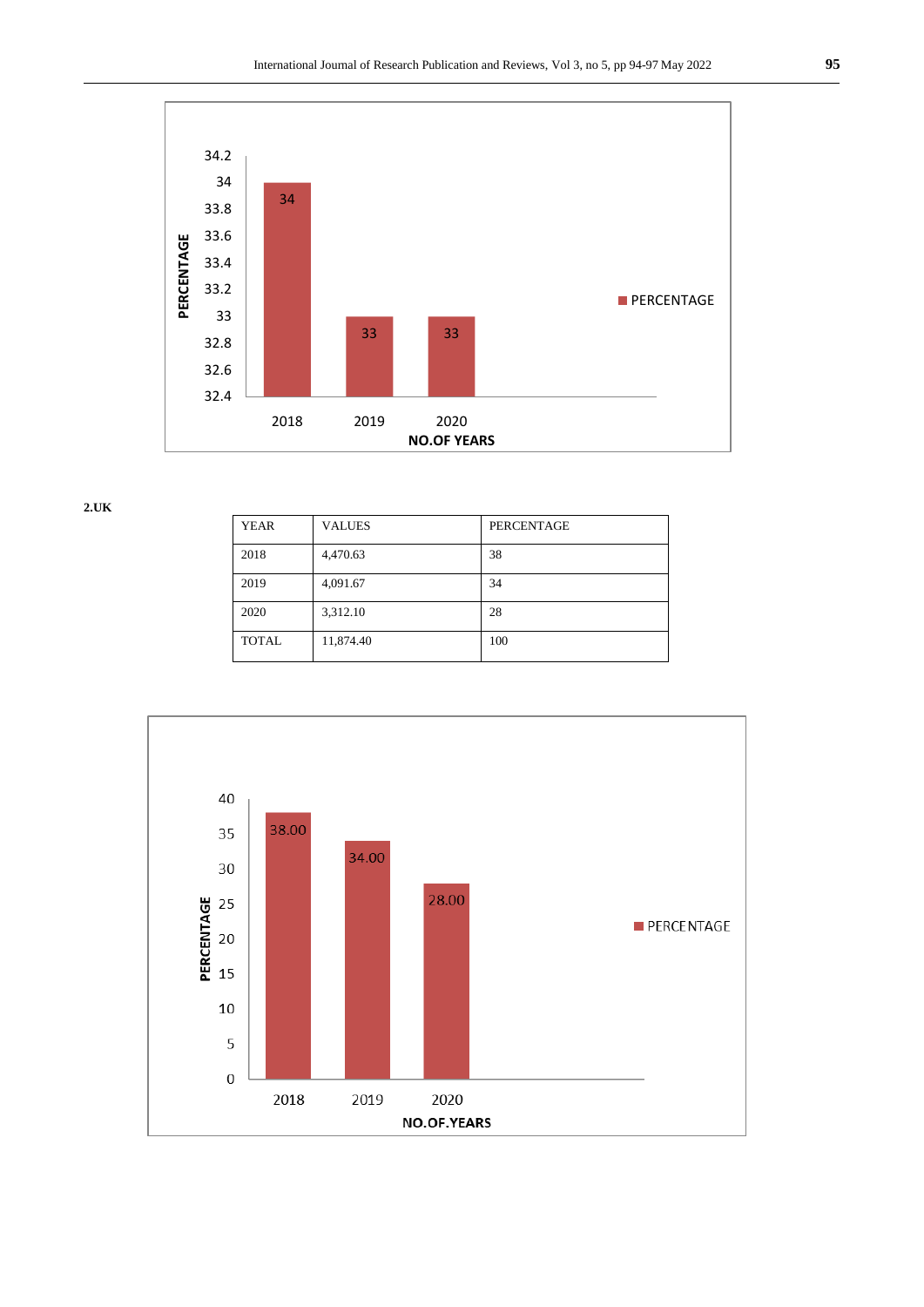

**2.UK**

| <b>YEAR</b>  | <b>VALUES</b> | <b>PERCENTAGE</b> |
|--------------|---------------|-------------------|
| 2018         | 4,470.63      | 38                |
| 2019         | 4,091.67      | 34                |
| 2020         | 3,312.10      | 28                |
| <b>TOTAL</b> | 11,874.40     | 100               |

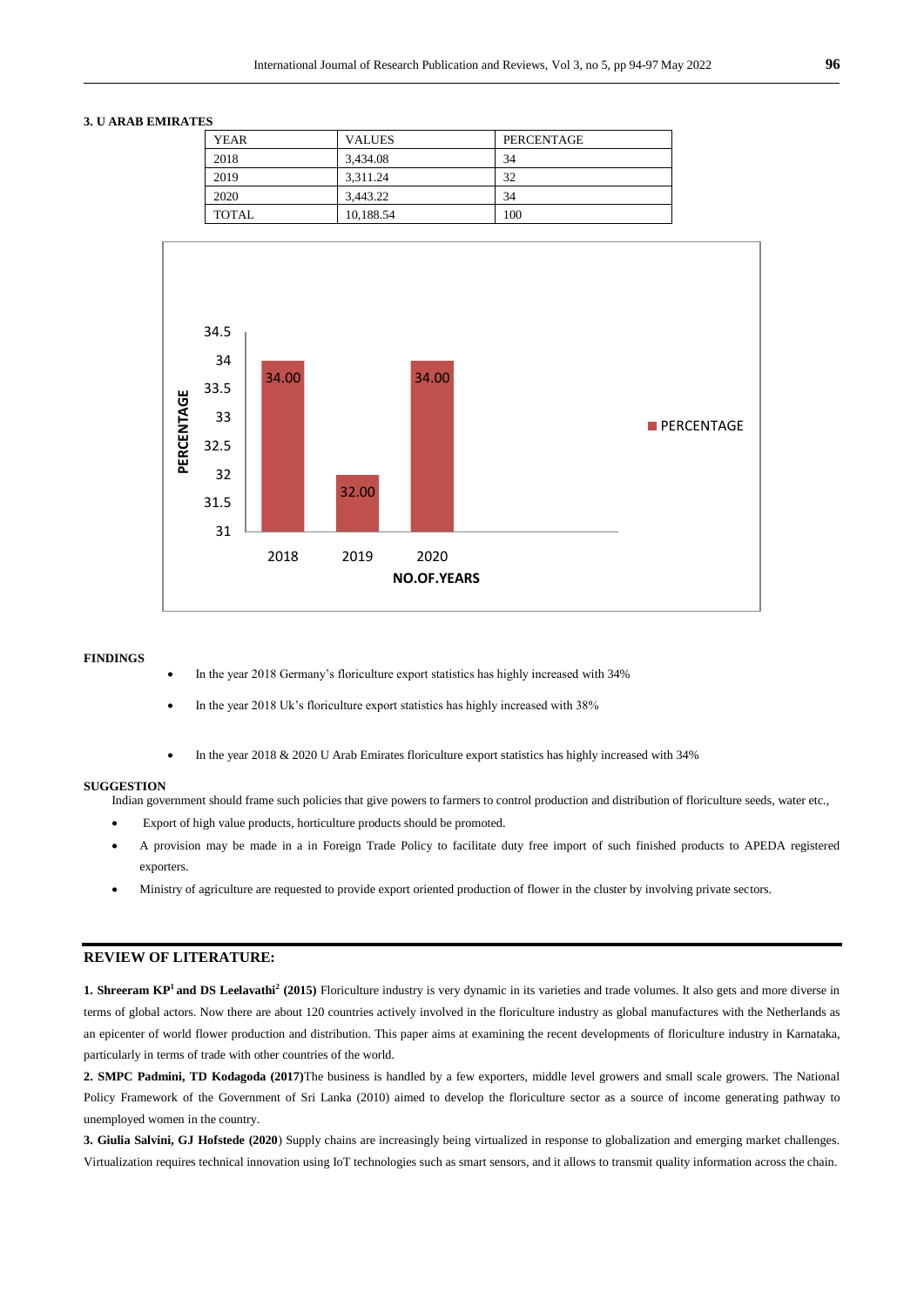#### **3. U ARAB EMIRATES**

| <b>YEAR</b>  | <b>VALUES</b> | PERCENTAGE |
|--------------|---------------|------------|
| 2018         | 3.434.08      | 34         |
| 2019         | 3.311.24      | 32         |
| 2020         | 3.443.22      | 34         |
| <b>TOTAL</b> | 10,188.54     | 100        |



#### **FINDINGS**

- In the year 2018 Germany's floriculture export statistics has highly increased with 34%
- In the year 2018 Uk's floriculture export statistics has highly increased with 38%
- In the year 2018 & 2020 U Arab Emirates floriculture export statistics has highly increased with 34%

#### **SUGGESTION**

Indian government should frame such policies that give powers to farmers to control production and distribution of floriculture seeds, water etc.,

- Export of high value products, horticulture products should be promoted.
- A provision may be made in a in Foreign Trade Policy to facilitate duty free import of such finished products to APEDA registered exporters.
- Ministry of agriculture are requested to provide export oriented production of flower in the cluster by involving private sectors.

### **REVIEW OF LITERATURE:**

**1. Shreeram KP<sup>1</sup> and DS Leelavathi<sup>2</sup> (2015)** Floriculture industry is very dynamic in its varieties and trade volumes. It also gets and more diverse in terms of global actors. Now there are about 120 countries actively involved in the floriculture industry as global manufactures with the Netherlands as an epicenter of world flower production and distribution. This paper aims at examining the recent developments of floriculture industry in Karnataka, particularly in terms of trade with other countries of the world.

**2. SMPC Padmini, TD Kodagoda (2017)**The business is handled by a few exporters, middle level growers and small scale growers. The National Policy Framework of the Government of Sri Lanka (2010) aimed to develop the floriculture sector as a source of income generating pathway to unemployed women in the country.

**3. Giulia Salvini, GJ Hofstede (2020**) Supply chains are increasingly being virtualized in response to globalization and emerging market challenges. Virtualization requires technical innovation using IoT technologies such as smart sensors, and it allows to transmit quality information across the chain.